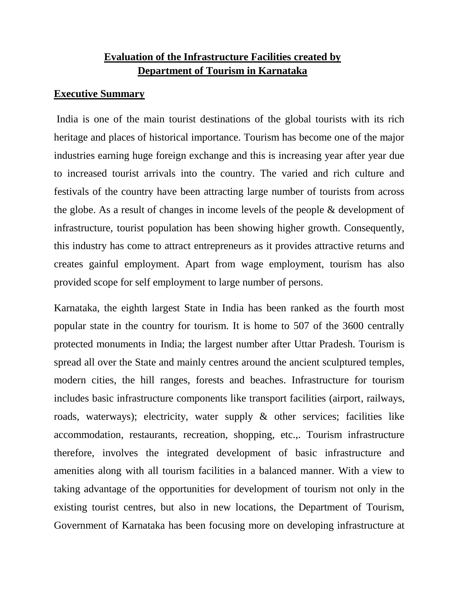# **Evaluation of the Infrastructure Facilities created by Department of Tourism in Karnataka**

### **Executive Summary**

India is one of the main tourist destinations of the global tourists with its rich heritage and places of historical importance. Tourism has become one of the major industries earning huge foreign exchange and this is increasing year after year due to increased tourist arrivals into the country. The varied and rich culture and festivals of the country have been attracting large number of tourists from across the globe. As a result of changes in income levels of the people & development of infrastructure, tourist population has been showing higher growth. Consequently, this industry has come to attract entrepreneurs as it provides attractive returns and creates gainful employment. Apart from wage employment, tourism has also provided scope for self employment to large number of persons.

Karnataka, the eighth largest State in India has been ranked as the fourth most popular state in the country for tourism. It is home to 507 of the 3600 centrally protected monuments in India; the largest number after Uttar Pradesh. Tourism is spread all over the State and mainly centres around the ancient sculptured temples, modern cities, the hill ranges, forests and beaches. Infrastructure for tourism includes basic infrastructure components like transport facilities (airport, railways, roads, waterways); electricity, water supply & other services; facilities like accommodation, restaurants, recreation, shopping, etc.,. Tourism infrastructure therefore, involves the integrated development of basic infrastructure and amenities along with all tourism facilities in a balanced manner. With a view to taking advantage of the opportunities for development of tourism not only in the existing tourist centres, but also in new locations, the Department of Tourism, Government of Karnataka has been focusing more on developing infrastructure at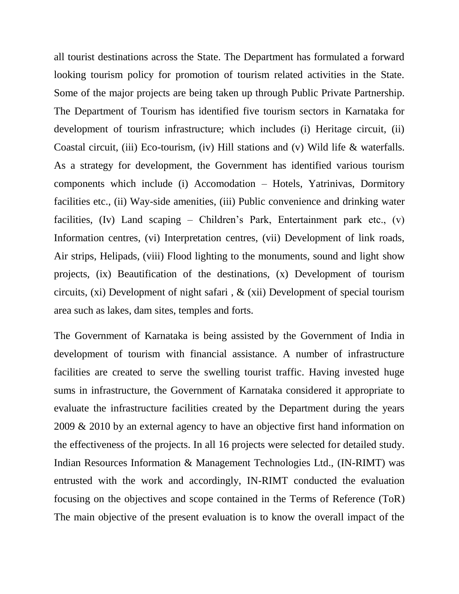all tourist destinations across the State. The Department has formulated a forward looking tourism policy for promotion of tourism related activities in the State. Some of the major projects are being taken up through Public Private Partnership. The Department of Tourism has identified five tourism sectors in Karnataka for development of tourism infrastructure; which includes (i) Heritage circuit, (ii) Coastal circuit, (iii) Eco-tourism, (iv) Hill stations and (v) Wild life & waterfalls. As a strategy for development, the Government has identified various tourism components which include (i) Accomodation – Hotels, Yatrinivas, Dormitory facilities etc., (ii) Way-side amenities, (iii) Public convenience and drinking water facilities, (Iv) Land scaping – Children's Park, Entertainment park etc., (v) Information centres, (vi) Interpretation centres, (vii) Development of link roads, Air strips, Helipads, (viii) Flood lighting to the monuments, sound and light show projects, (ix) Beautification of the destinations, (x) Development of tourism circuits, (xi) Development of night safari , & (xii) Development of special tourism area such as lakes, dam sites, temples and forts.

The Government of Karnataka is being assisted by the Government of India in development of tourism with financial assistance. A number of infrastructure facilities are created to serve the swelling tourist traffic. Having invested huge sums in infrastructure, the Government of Karnataka considered it appropriate to evaluate the infrastructure facilities created by the Department during the years 2009 & 2010 by an external agency to have an objective first hand information on the effectiveness of the projects. In all 16 projects were selected for detailed study. Indian Resources Information & Management Technologies Ltd., (IN-RIMT) was entrusted with the work and accordingly, IN-RIMT conducted the evaluation focusing on the objectives and scope contained in the Terms of Reference (ToR) The main objective of the present evaluation is to know the overall impact of the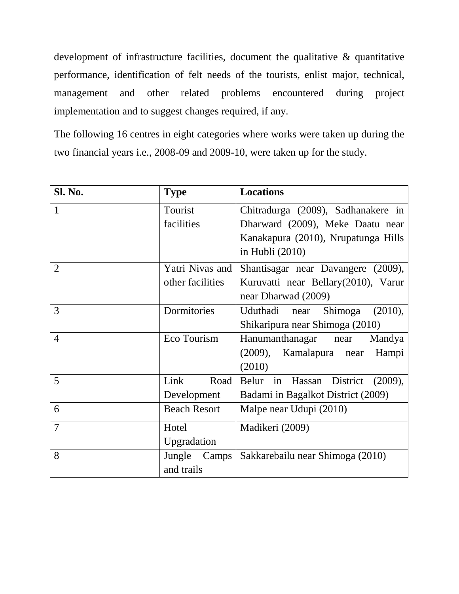development of infrastructure facilities, document the qualitative & quantitative performance, identification of felt needs of the tourists, enlist major, technical, management and other related problems encountered during project implementation and to suggest changes required, if any.

The following 16 centres in eight categories where works were taken up during the two financial years i.e., 2008-09 and 2009-10, were taken up for the study.

| <b>Sl. No.</b> | <b>Type</b>         | <b>Locations</b>                          |
|----------------|---------------------|-------------------------------------------|
| 1              | Tourist             | Chitradurga (2009), Sadhanakere in        |
|                | facilities          | Dharward (2009), Meke Daatu near          |
|                |                     | Kanakapura (2010), Nrupatunga Hills       |
|                |                     | in Hubli $(2010)$                         |
| $\overline{2}$ | Yatri Nivas and     | Shantisagar near Davangere (2009),        |
|                | other facilities    | Kuruvatti near Bellary(2010), Varur       |
|                |                     | near Dharwad (2009)                       |
| 3              | Dormitories         | Uduthadi near<br>Shimoga<br>(2010),       |
|                |                     | Shikaripura near Shimoga (2010)           |
| $\overline{4}$ | Eco Tourism         | Hanumanthanagar near<br>Mandya            |
|                |                     | (2009), Kamalapura<br>Hampi<br>near       |
|                |                     | (2010)                                    |
| 5              | Link<br>Road        | Belur in<br>District<br>Hassan<br>(2009), |
|                | Development         | Badami in Bagalkot District (2009)        |
| 6              | <b>Beach Resort</b> | Malpe near Udupi (2010)                   |
| $\overline{7}$ | Hotel               | Madikeri (2009)                           |
|                | Upgradation         |                                           |
| 8              | Jungle<br>Camps     | Sakkarebailu near Shimoga (2010)          |
|                | and trails          |                                           |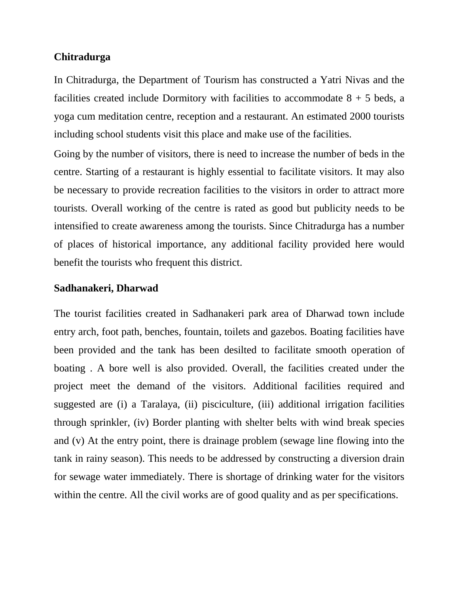### **Chitradurga**

In Chitradurga, the Department of Tourism has constructed a Yatri Nivas and the facilities created include Dormitory with facilities to accommodate  $8 + 5$  beds, a yoga cum meditation centre, reception and a restaurant. An estimated 2000 tourists including school students visit this place and make use of the facilities.

Going by the number of visitors, there is need to increase the number of beds in the centre. Starting of a restaurant is highly essential to facilitate visitors. It may also be necessary to provide recreation facilities to the visitors in order to attract more tourists. Overall working of the centre is rated as good but publicity needs to be intensified to create awareness among the tourists. Since Chitradurga has a number of places of historical importance, any additional facility provided here would benefit the tourists who frequent this district.

#### **Sadhanakeri, Dharwad**

The tourist facilities created in Sadhanakeri park area of Dharwad town include entry arch, foot path, benches, fountain, toilets and gazebos. Boating facilities have been provided and the tank has been desilted to facilitate smooth operation of boating . A bore well is also provided. Overall, the facilities created under the project meet the demand of the visitors. Additional facilities required and suggested are (i) a Taralaya, (ii) pisciculture, (iii) additional irrigation facilities through sprinkler, (iv) Border planting with shelter belts with wind break species and (v) At the entry point, there is drainage problem (sewage line flowing into the tank in rainy season). This needs to be addressed by constructing a diversion drain for sewage water immediately. There is shortage of drinking water for the visitors within the centre. All the civil works are of good quality and as per specifications.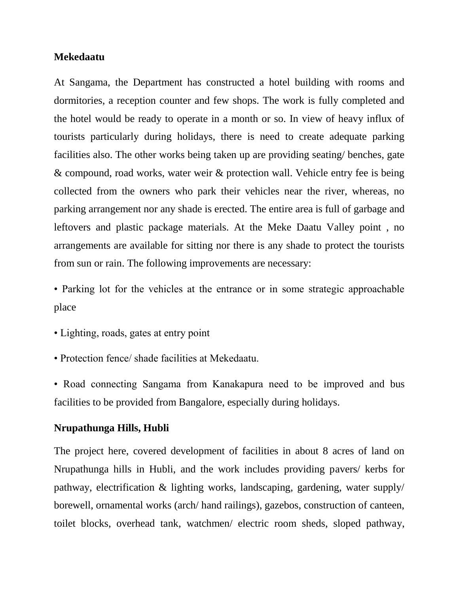## **Mekedaatu**

At Sangama, the Department has constructed a hotel building with rooms and dormitories, a reception counter and few shops. The work is fully completed and the hotel would be ready to operate in a month or so. In view of heavy influx of tourists particularly during holidays, there is need to create adequate parking facilities also. The other works being taken up are providing seating/ benches, gate & compound, road works, water weir & protection wall. Vehicle entry fee is being collected from the owners who park their vehicles near the river, whereas, no parking arrangement nor any shade is erected. The entire area is full of garbage and leftovers and plastic package materials. At the Meke Daatu Valley point , no arrangements are available for sitting nor there is any shade to protect the tourists from sun or rain. The following improvements are necessary:

• Parking lot for the vehicles at the entrance or in some strategic approachable place

- Lighting, roads, gates at entry point
- Protection fence/ shade facilities at Mekedaatu.

• Road connecting Sangama from Kanakapura need to be improved and bus facilities to be provided from Bangalore, especially during holidays.

#### **Nrupathunga Hills, Hubli**

The project here, covered development of facilities in about 8 acres of land on Nrupathunga hills in Hubli, and the work includes providing pavers/ kerbs for pathway, electrification & lighting works, landscaping, gardening, water supply/ borewell, ornamental works (arch/ hand railings), gazebos, construction of canteen, toilet blocks, overhead tank, watchmen/ electric room sheds, sloped pathway,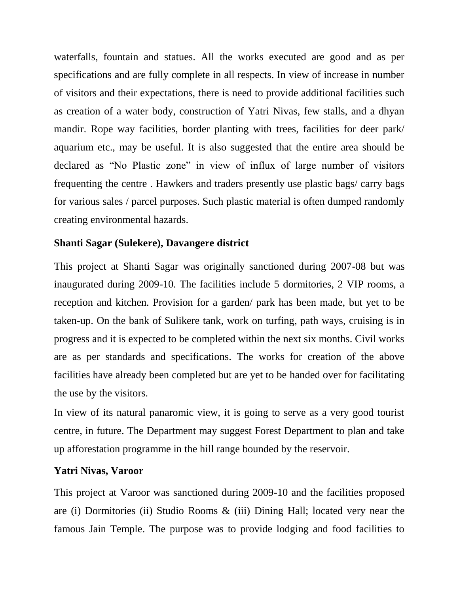waterfalls, fountain and statues. All the works executed are good and as per specifications and are fully complete in all respects. In view of increase in number of visitors and their expectations, there is need to provide additional facilities such as creation of a water body, construction of Yatri Nivas, few stalls, and a dhyan mandir. Rope way facilities, border planting with trees, facilities for deer park/ aquarium etc., may be useful. It is also suggested that the entire area should be declared as "No Plastic zone" in view of influx of large number of visitors frequenting the centre . Hawkers and traders presently use plastic bags/ carry bags for various sales / parcel purposes. Such plastic material is often dumped randomly creating environmental hazards.

# **Shanti Sagar (Sulekere), Davangere district**

This project at Shanti Sagar was originally sanctioned during 2007-08 but was inaugurated during 2009-10. The facilities include 5 dormitories, 2 VIP rooms, a reception and kitchen. Provision for a garden/ park has been made, but yet to be taken-up. On the bank of Sulikere tank, work on turfing, path ways, cruising is in progress and it is expected to be completed within the next six months. Civil works are as per standards and specifications. The works for creation of the above facilities have already been completed but are yet to be handed over for facilitating the use by the visitors.

In view of its natural panaromic view, it is going to serve as a very good tourist centre, in future. The Department may suggest Forest Department to plan and take up afforestation programme in the hill range bounded by the reservoir.

# **Yatri Nivas, Varoor**

This project at Varoor was sanctioned during 2009-10 and the facilities proposed are (i) Dormitories (ii) Studio Rooms & (iii) Dining Hall; located very near the famous Jain Temple. The purpose was to provide lodging and food facilities to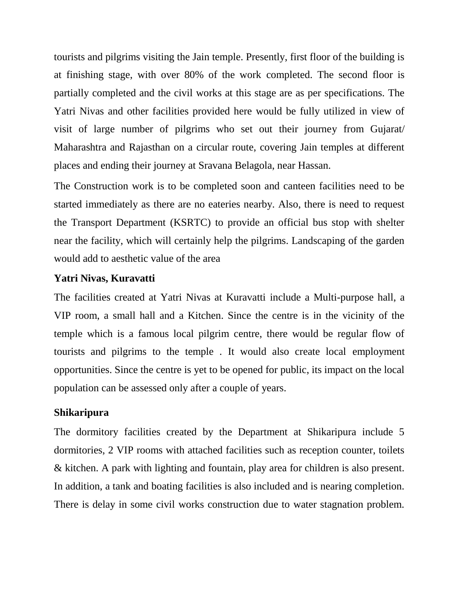tourists and pilgrims visiting the Jain temple. Presently, first floor of the building is at finishing stage, with over 80% of the work completed. The second floor is partially completed and the civil works at this stage are as per specifications. The Yatri Nivas and other facilities provided here would be fully utilized in view of visit of large number of pilgrims who set out their journey from Gujarat/ Maharashtra and Rajasthan on a circular route, covering Jain temples at different places and ending their journey at Sravana Belagola, near Hassan.

The Construction work is to be completed soon and canteen facilities need to be started immediately as there are no eateries nearby. Also, there is need to request the Transport Department (KSRTC) to provide an official bus stop with shelter near the facility, which will certainly help the pilgrims. Landscaping of the garden would add to aesthetic value of the area

## **Yatri Nivas, Kuravatti**

The facilities created at Yatri Nivas at Kuravatti include a Multi-purpose hall, a VIP room, a small hall and a Kitchen. Since the centre is in the vicinity of the temple which is a famous local pilgrim centre, there would be regular flow of tourists and pilgrims to the temple . It would also create local employment opportunities. Since the centre is yet to be opened for public, its impact on the local population can be assessed only after a couple of years.

#### **Shikaripura**

The dormitory facilities created by the Department at Shikaripura include 5 dormitories, 2 VIP rooms with attached facilities such as reception counter, toilets & kitchen. A park with lighting and fountain, play area for children is also present. In addition, a tank and boating facilities is also included and is nearing completion. There is delay in some civil works construction due to water stagnation problem.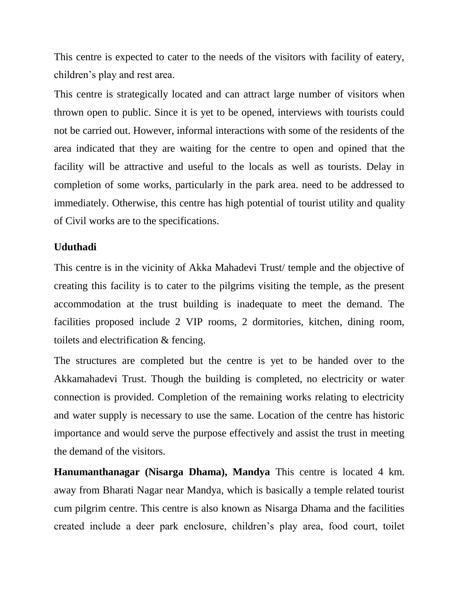This centre is expected to cater to the needs of the visitors with facility of eatery, children's play and rest area.

This centre is strategically located and can attract large number of visitors when thrown open to public. Since it is yet to be opened, interviews with tourists could not be carried out. However, informal interactions with some of the residents of the area indicated that they are waiting for the centre to open and opined that the facility will be attractive and useful to the locals as well as tourists. Delay in completion of some works, particularly in the park area. need to be addressed to immediately. Otherwise, this centre has high potential of tourist utility and quality of Civil works are to the specifications.

## **Uduthadi**

This centre is in the vicinity of Akka Mahadevi Trust/ temple and the objective of creating this facility is to cater to the pilgrims visiting the temple, as the present accommodation at the trust building is inadequate to meet the demand. The facilities proposed include 2 VIP rooms, 2 dormitories, kitchen, dining room, toilets and electrification & fencing.

The structures are completed but the centre is yet to be handed over to the Akkamahadevi Trust. Though the building is completed, no electricity or water connection is provided. Completion of the remaining works relating to electricity and water supply is necessary to use the same. Location of the centre has historic importance and would serve the purpose effectively and assist the trust in meeting the demand of the visitors.

**Hanumanthanagar (Nisarga Dhama), Mandya** This centre is located 4 km. away from Bharati Nagar near Mandya, which is basically a temple related tourist cum pilgrim centre. This centre is also known as Nisarga Dhama and the facilities created include a deer park enclosure, children's play area, food court, toilet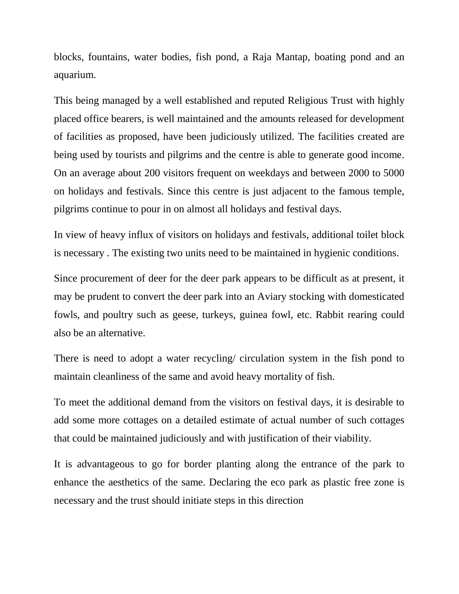blocks, fountains, water bodies, fish pond, a Raja Mantap, boating pond and an aquarium.

This being managed by a well established and reputed Religious Trust with highly placed office bearers, is well maintained and the amounts released for development of facilities as proposed, have been judiciously utilized. The facilities created are being used by tourists and pilgrims and the centre is able to generate good income. On an average about 200 visitors frequent on weekdays and between 2000 to 5000 on holidays and festivals. Since this centre is just adjacent to the famous temple, pilgrims continue to pour in on almost all holidays and festival days.

In view of heavy influx of visitors on holidays and festivals, additional toilet block is necessary . The existing two units need to be maintained in hygienic conditions.

Since procurement of deer for the deer park appears to be difficult as at present, it may be prudent to convert the deer park into an Aviary stocking with domesticated fowls, and poultry such as geese, turkeys, guinea fowl, etc. Rabbit rearing could also be an alternative.

There is need to adopt a water recycling/ circulation system in the fish pond to maintain cleanliness of the same and avoid heavy mortality of fish.

To meet the additional demand from the visitors on festival days, it is desirable to add some more cottages on a detailed estimate of actual number of such cottages that could be maintained judiciously and with justification of their viability.

It is advantageous to go for border planting along the entrance of the park to enhance the aesthetics of the same. Declaring the eco park as plastic free zone is necessary and the trust should initiate steps in this direction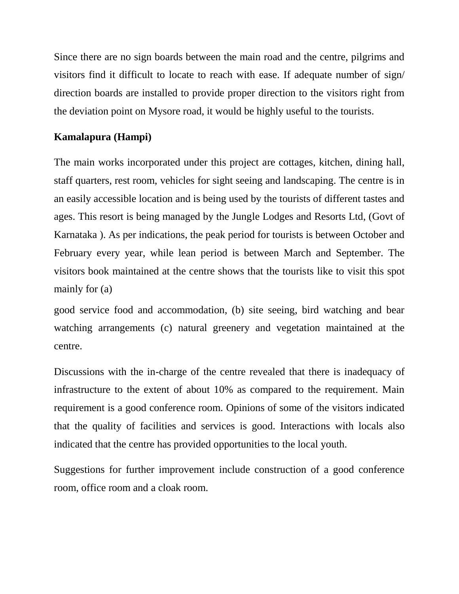Since there are no sign boards between the main road and the centre, pilgrims and visitors find it difficult to locate to reach with ease. If adequate number of sign/ direction boards are installed to provide proper direction to the visitors right from the deviation point on Mysore road, it would be highly useful to the tourists.

# **Kamalapura (Hampi)**

The main works incorporated under this project are cottages, kitchen, dining hall, staff quarters, rest room, vehicles for sight seeing and landscaping. The centre is in an easily accessible location and is being used by the tourists of different tastes and ages. This resort is being managed by the Jungle Lodges and Resorts Ltd, (Govt of Karnataka ). As per indications, the peak period for tourists is between October and February every year, while lean period is between March and September. The visitors book maintained at the centre shows that the tourists like to visit this spot mainly for (a)

good service food and accommodation, (b) site seeing, bird watching and bear watching arrangements (c) natural greenery and vegetation maintained at the centre.

Discussions with the in-charge of the centre revealed that there is inadequacy of infrastructure to the extent of about 10% as compared to the requirement. Main requirement is a good conference room. Opinions of some of the visitors indicated that the quality of facilities and services is good. Interactions with locals also indicated that the centre has provided opportunities to the local youth.

Suggestions for further improvement include construction of a good conference room, office room and a cloak room.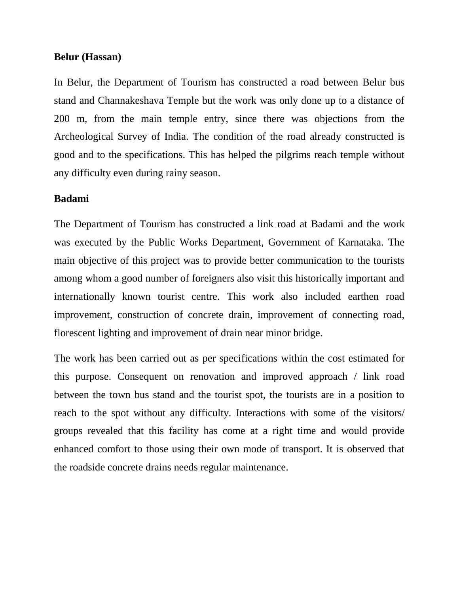### **Belur (Hassan)**

In Belur, the Department of Tourism has constructed a road between Belur bus stand and Channakeshava Temple but the work was only done up to a distance of 200 m, from the main temple entry, since there was objections from the Archeological Survey of India. The condition of the road already constructed is good and to the specifications. This has helped the pilgrims reach temple without any difficulty even during rainy season.

### **Badami**

The Department of Tourism has constructed a link road at Badami and the work was executed by the Public Works Department, Government of Karnataka. The main objective of this project was to provide better communication to the tourists among whom a good number of foreigners also visit this historically important and internationally known tourist centre. This work also included earthen road improvement, construction of concrete drain, improvement of connecting road, florescent lighting and improvement of drain near minor bridge.

The work has been carried out as per specifications within the cost estimated for this purpose. Consequent on renovation and improved approach / link road between the town bus stand and the tourist spot, the tourists are in a position to reach to the spot without any difficulty. Interactions with some of the visitors/ groups revealed that this facility has come at a right time and would provide enhanced comfort to those using their own mode of transport. It is observed that the roadside concrete drains needs regular maintenance.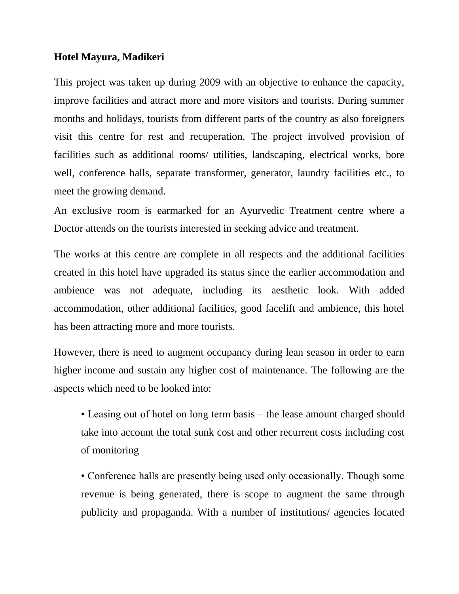## **Hotel Mayura, Madikeri**

This project was taken up during 2009 with an objective to enhance the capacity, improve facilities and attract more and more visitors and tourists. During summer months and holidays, tourists from different parts of the country as also foreigners visit this centre for rest and recuperation. The project involved provision of facilities such as additional rooms/ utilities, landscaping, electrical works, bore well, conference halls, separate transformer, generator, laundry facilities etc., to meet the growing demand.

An exclusive room is earmarked for an Ayurvedic Treatment centre where a Doctor attends on the tourists interested in seeking advice and treatment.

The works at this centre are complete in all respects and the additional facilities created in this hotel have upgraded its status since the earlier accommodation and ambience was not adequate, including its aesthetic look. With added accommodation, other additional facilities, good facelift and ambience, this hotel has been attracting more and more tourists.

However, there is need to augment occupancy during lean season in order to earn higher income and sustain any higher cost of maintenance. The following are the aspects which need to be looked into:

• Leasing out of hotel on long term basis – the lease amount charged should take into account the total sunk cost and other recurrent costs including cost of monitoring

• Conference halls are presently being used only occasionally. Though some revenue is being generated, there is scope to augment the same through publicity and propaganda. With a number of institutions/ agencies located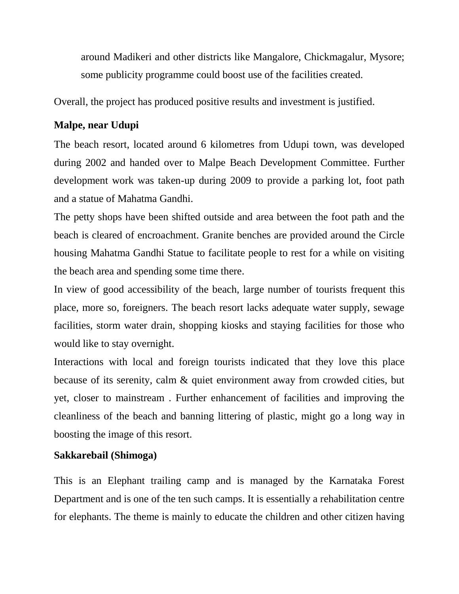around Madikeri and other districts like Mangalore, Chickmagalur, Mysore; some publicity programme could boost use of the facilities created.

Overall, the project has produced positive results and investment is justified.

# **Malpe, near Udupi**

The beach resort, located around 6 kilometres from Udupi town, was developed during 2002 and handed over to Malpe Beach Development Committee. Further development work was taken-up during 2009 to provide a parking lot, foot path and a statue of Mahatma Gandhi.

The petty shops have been shifted outside and area between the foot path and the beach is cleared of encroachment. Granite benches are provided around the Circle housing Mahatma Gandhi Statue to facilitate people to rest for a while on visiting the beach area and spending some time there.

In view of good accessibility of the beach, large number of tourists frequent this place, more so, foreigners. The beach resort lacks adequate water supply, sewage facilities, storm water drain, shopping kiosks and staying facilities for those who would like to stay overnight.

Interactions with local and foreign tourists indicated that they love this place because of its serenity, calm & quiet environment away from crowded cities, but yet, closer to mainstream . Further enhancement of facilities and improving the cleanliness of the beach and banning littering of plastic, might go a long way in boosting the image of this resort.

# **Sakkarebail (Shimoga)**

This is an Elephant trailing camp and is managed by the Karnataka Forest Department and is one of the ten such camps. It is essentially a rehabilitation centre for elephants. The theme is mainly to educate the children and other citizen having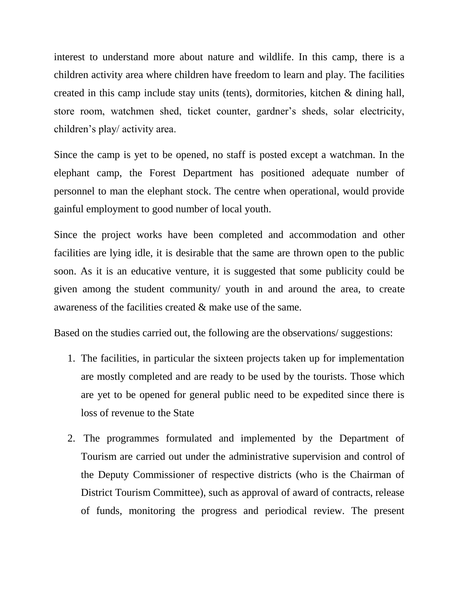interest to understand more about nature and wildlife. In this camp, there is a children activity area where children have freedom to learn and play. The facilities created in this camp include stay units (tents), dormitories, kitchen & dining hall, store room, watchmen shed, ticket counter, gardner's sheds, solar electricity, children's play/ activity area.

Since the camp is yet to be opened, no staff is posted except a watchman. In the elephant camp, the Forest Department has positioned adequate number of personnel to man the elephant stock. The centre when operational, would provide gainful employment to good number of local youth.

Since the project works have been completed and accommodation and other facilities are lying idle, it is desirable that the same are thrown open to the public soon. As it is an educative venture, it is suggested that some publicity could be given among the student community/ youth in and around the area, to create awareness of the facilities created & make use of the same.

Based on the studies carried out, the following are the observations/ suggestions:

- 1. The facilities, in particular the sixteen projects taken up for implementation are mostly completed and are ready to be used by the tourists. Those which are yet to be opened for general public need to be expedited since there is loss of revenue to the State
- 2. The programmes formulated and implemented by the Department of Tourism are carried out under the administrative supervision and control of the Deputy Commissioner of respective districts (who is the Chairman of District Tourism Committee), such as approval of award of contracts, release of funds, monitoring the progress and periodical review. The present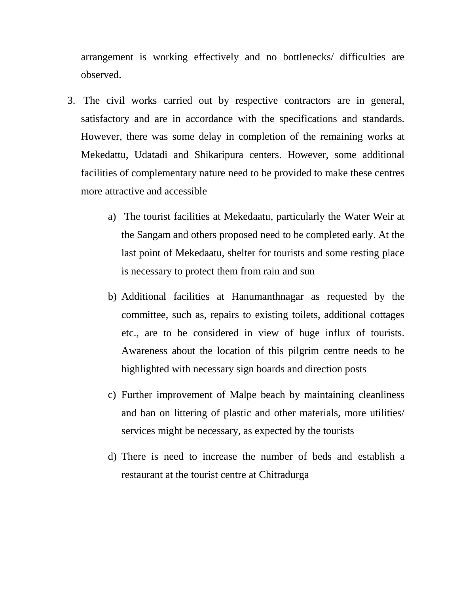arrangement is working effectively and no bottlenecks/ difficulties are observed.

- 3. The civil works carried out by respective contractors are in general, satisfactory and are in accordance with the specifications and standards. However, there was some delay in completion of the remaining works at Mekedattu, Udatadi and Shikaripura centers. However, some additional facilities of complementary nature need to be provided to make these centres more attractive and accessible
	- a) The tourist facilities at Mekedaatu, particularly the Water Weir at the Sangam and others proposed need to be completed early. At the last point of Mekedaatu, shelter for tourists and some resting place is necessary to protect them from rain and sun
	- b) Additional facilities at Hanumanthnagar as requested by the committee, such as, repairs to existing toilets, additional cottages etc., are to be considered in view of huge influx of tourists. Awareness about the location of this pilgrim centre needs to be highlighted with necessary sign boards and direction posts
	- c) Further improvement of Malpe beach by maintaining cleanliness and ban on littering of plastic and other materials, more utilities/ services might be necessary, as expected by the tourists
	- d) There is need to increase the number of beds and establish a restaurant at the tourist centre at Chitradurga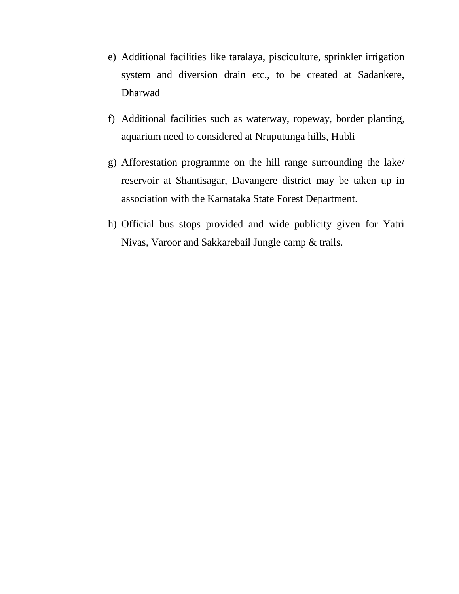- e) Additional facilities like taralaya, pisciculture, sprinkler irrigation system and diversion drain etc., to be created at Sadankere, Dharwad
- f) Additional facilities such as waterway, ropeway, border planting, aquarium need to considered at Nruputunga hills, Hubli
- g) Afforestation programme on the hill range surrounding the lake/ reservoir at Shantisagar, Davangere district may be taken up in association with the Karnataka State Forest Department.
- h) Official bus stops provided and wide publicity given for Yatri Nivas, Varoor and Sakkarebail Jungle camp & trails.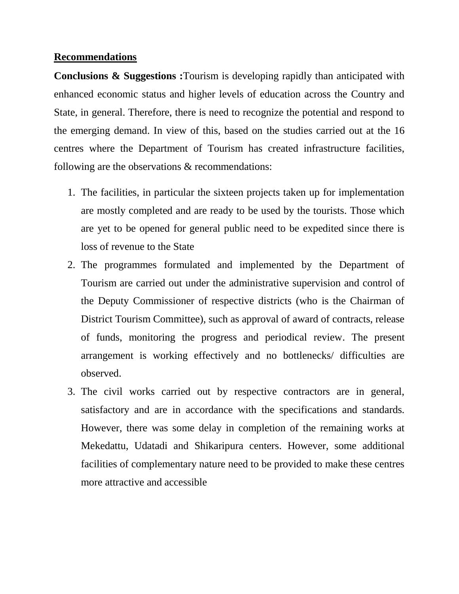### **Recommendations**

**Conclusions & Suggestions :**Tourism is developing rapidly than anticipated with enhanced economic status and higher levels of education across the Country and State, in general. Therefore, there is need to recognize the potential and respond to the emerging demand. In view of this, based on the studies carried out at the 16 centres where the Department of Tourism has created infrastructure facilities, following are the observations & recommendations:

- 1. The facilities, in particular the sixteen projects taken up for implementation are mostly completed and are ready to be used by the tourists. Those which are yet to be opened for general public need to be expedited since there is loss of revenue to the State
- 2. The programmes formulated and implemented by the Department of Tourism are carried out under the administrative supervision and control of the Deputy Commissioner of respective districts (who is the Chairman of District Tourism Committee), such as approval of award of contracts, release of funds, monitoring the progress and periodical review. The present arrangement is working effectively and no bottlenecks/ difficulties are observed.
- 3. The civil works carried out by respective contractors are in general, satisfactory and are in accordance with the specifications and standards. However, there was some delay in completion of the remaining works at Mekedattu, Udatadi and Shikaripura centers. However, some additional facilities of complementary nature need to be provided to make these centres more attractive and accessible